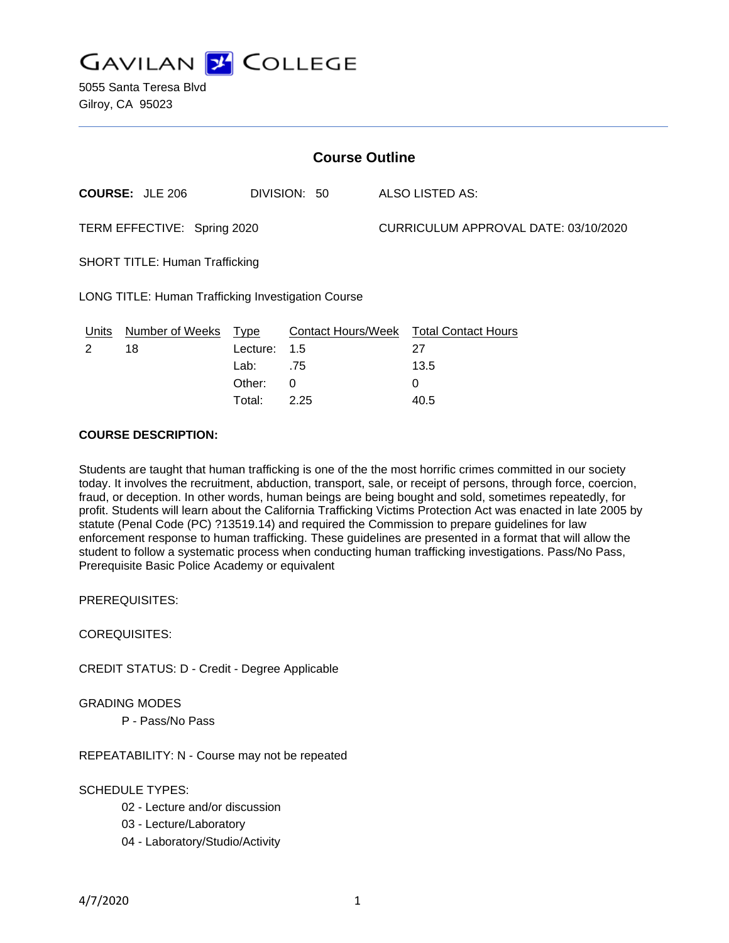

5055 Santa Teresa Blvd Gilroy, CA 95023

| <b>Course Outline</b>                                     |                        |          |              |                                      |                                        |
|-----------------------------------------------------------|------------------------|----------|--------------|--------------------------------------|----------------------------------------|
|                                                           | <b>COURSE: JLE 206</b> |          | DIVISION: 50 |                                      | ALSO LISTED AS:                        |
| TERM EFFECTIVE: Spring 2020                               |                        |          |              | CURRICULUM APPROVAL DATE: 03/10/2020 |                                        |
| <b>SHORT TITLE: Human Trafficking</b>                     |                        |          |              |                                      |                                        |
| <b>LONG TITLE: Human Trafficking Investigation Course</b> |                        |          |              |                                      |                                        |
| Units                                                     | Number of Weeks Type   |          |              |                                      | Contact Hours/Week Total Contact Hours |
| $\mathcal{P}$                                             | 18                     | Lecture: | 1.5          |                                      | 27                                     |
|                                                           |                        | Lab:     | .75          |                                      | 13.5                                   |
|                                                           |                        | Other:   | $\Omega$     |                                      | 0                                      |
|                                                           |                        | Total:   | 2.25         |                                      | 40.5                                   |

### **COURSE DESCRIPTION:**

Students are taught that human trafficking is one of the the most horrific crimes committed in our society today. It involves the recruitment, abduction, transport, sale, or receipt of persons, through force, coercion, fraud, or deception. In other words, human beings are being bought and sold, sometimes repeatedly, for profit. Students will learn about the California Trafficking Victims Protection Act was enacted in late 2005 by statute (Penal Code (PC) ?13519.14) and required the Commission to prepare guidelines for law enforcement response to human trafficking. These guidelines are presented in a format that will allow the student to follow a systematic process when conducting human trafficking investigations. Pass/No Pass, Prerequisite Basic Police Academy or equivalent

PREREQUISITES:

COREQUISITES:

CREDIT STATUS: D - Credit - Degree Applicable

### GRADING MODES

P - Pass/No Pass

REPEATABILITY: N - Course may not be repeated

### SCHEDULE TYPES:

- 02 Lecture and/or discussion
- 03 Lecture/Laboratory
- 04 Laboratory/Studio/Activity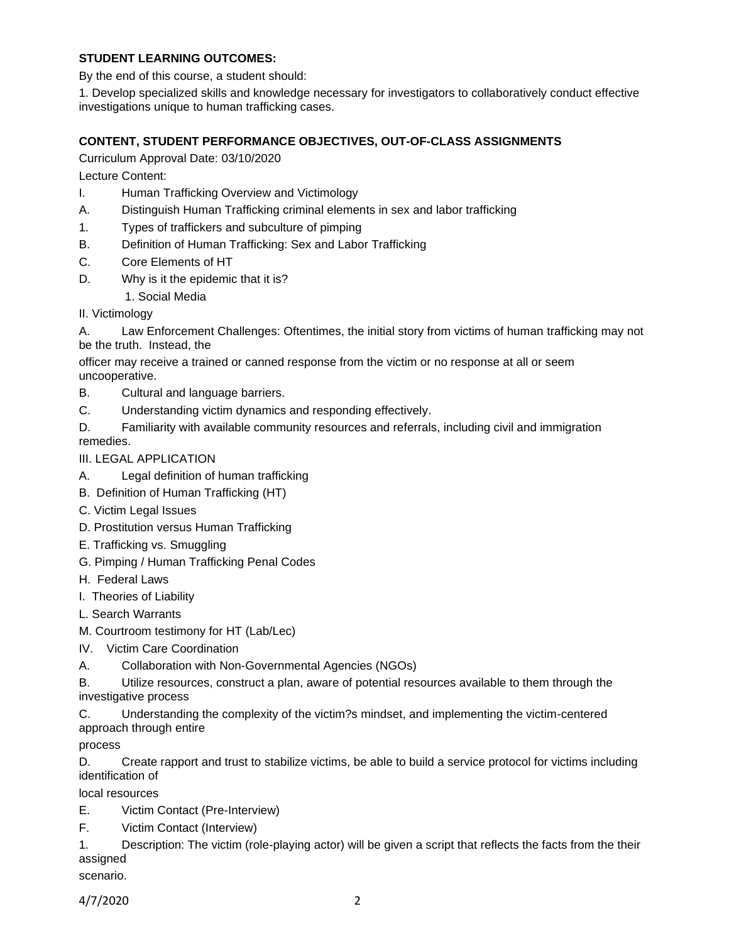# **STUDENT LEARNING OUTCOMES:**

By the end of this course, a student should:

1. Develop specialized skills and knowledge necessary for investigators to collaboratively conduct effective investigations unique to human trafficking cases.

# **CONTENT, STUDENT PERFORMANCE OBJECTIVES, OUT-OF-CLASS ASSIGNMENTS**

Curriculum Approval Date: 03/10/2020

Lecture Content:

- I. Human Trafficking Overview and Victimology
- A. Distinguish Human Trafficking criminal elements in sex and labor trafficking
- 1. Types of traffickers and subculture of pimping
- B. Definition of Human Trafficking: Sex and Labor Trafficking
- C. Core Elements of HT
- D. Why is it the epidemic that it is?
	- 1. Social Media
- II. Victimology

A. Law Enforcement Challenges: Oftentimes, the initial story from victims of human trafficking may not be the truth. Instead, the

officer may receive a trained or canned response from the victim or no response at all or seem uncooperative.

- B. Cultural and language barriers.
- C. Understanding victim dynamics and responding effectively.
- D. Familiarity with available community resources and referrals, including civil and immigration

remedies.

## III. LEGAL APPLICATION

- A. Legal definition of human trafficking
- B. Definition of Human Trafficking (HT)
- C. Victim Legal Issues
- D. Prostitution versus Human Trafficking
- E. Trafficking vs. Smuggling
- G. Pimping / Human Trafficking Penal Codes
- H. Federal Laws
- I. Theories of Liability
- L. Search Warrants

M. Courtroom testimony for HT (Lab/Lec)

- IV. Victim Care Coordination
- A. Collaboration with Non-Governmental Agencies (NGOs)

B. Utilize resources, construct a plan, aware of potential resources available to them through the investigative process

C. Understanding the complexity of the victim?s mindset, and implementing the victim-centered approach through entire

process

D. Create rapport and trust to stabilize victims, be able to build a service protocol for victims including identification of

local resources

E. Victim Contact (Pre-Interview)

F. Victim Contact (Interview)

1. Description: The victim (role-playing actor) will be given a script that reflects the facts from the their assigned

scenario.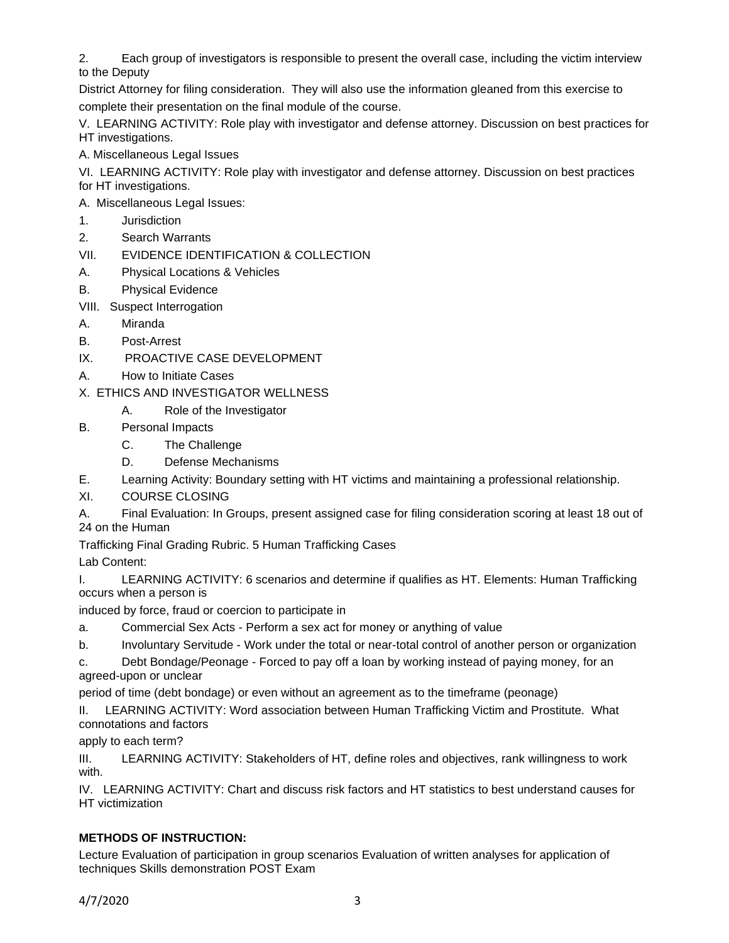2. Each group of investigators is responsible to present the overall case, including the victim interview to the Deputy

District Attorney for filing consideration. They will also use the information gleaned from this exercise to complete their presentation on the final module of the course.

V. LEARNING ACTIVITY: Role play with investigator and defense attorney. Discussion on best practices for HT investigations.

A. Miscellaneous Legal Issues

VI. LEARNING ACTIVITY: Role play with investigator and defense attorney. Discussion on best practices for HT investigations.

A. Miscellaneous Legal Issues:

- 1. Jurisdiction
- 2. Search Warrants
- VII. EVIDENCE IDENTIFICATION & COLLECTION
- A. Physical Locations & Vehicles
- B. Physical Evidence
- VIII. Suspect Interrogation
- A. Miranda
- B. Post-Arrest
- IX. PROACTIVE CASE DEVELOPMENT
- A. How to Initiate Cases

X. ETHICS AND INVESTIGATOR WELLNESS

- A. Role of the Investigator
- B. Personal Impacts
	- C. The Challenge
	- D. Defense Mechanisms
- E. Learning Activity: Boundary setting with HT victims and maintaining a professional relationship.
- XI. COURSE CLOSING

A. Final Evaluation: In Groups, present assigned case for filing consideration scoring at least 18 out of 24 on the Human

Trafficking Final Grading Rubric. 5 Human Trafficking Cases

Lab Content:

I. LEARNING ACTIVITY: 6 scenarios and determine if qualifies as HT. Elements: Human Trafficking occurs when a person is

induced by force, fraud or coercion to participate in

- a. Commercial Sex Acts Perform a sex act for money or anything of value
- b. Involuntary Servitude Work under the total or near-total control of another person or organization

c. Debt Bondage/Peonage - Forced to pay off a loan by working instead of paying money, for an agreed-upon or unclear

period of time (debt bondage) or even without an agreement as to the timeframe (peonage)

II. LEARNING ACTIVITY: Word association between Human Trafficking Victim and Prostitute. What connotations and factors

apply to each term?

III. LEARNING ACTIVITY: Stakeholders of HT, define roles and objectives, rank willingness to work with.

IV. LEARNING ACTIVITY: Chart and discuss risk factors and HT statistics to best understand causes for HT victimization

# **METHODS OF INSTRUCTION:**

Lecture Evaluation of participation in group scenarios Evaluation of written analyses for application of techniques Skills demonstration POST Exam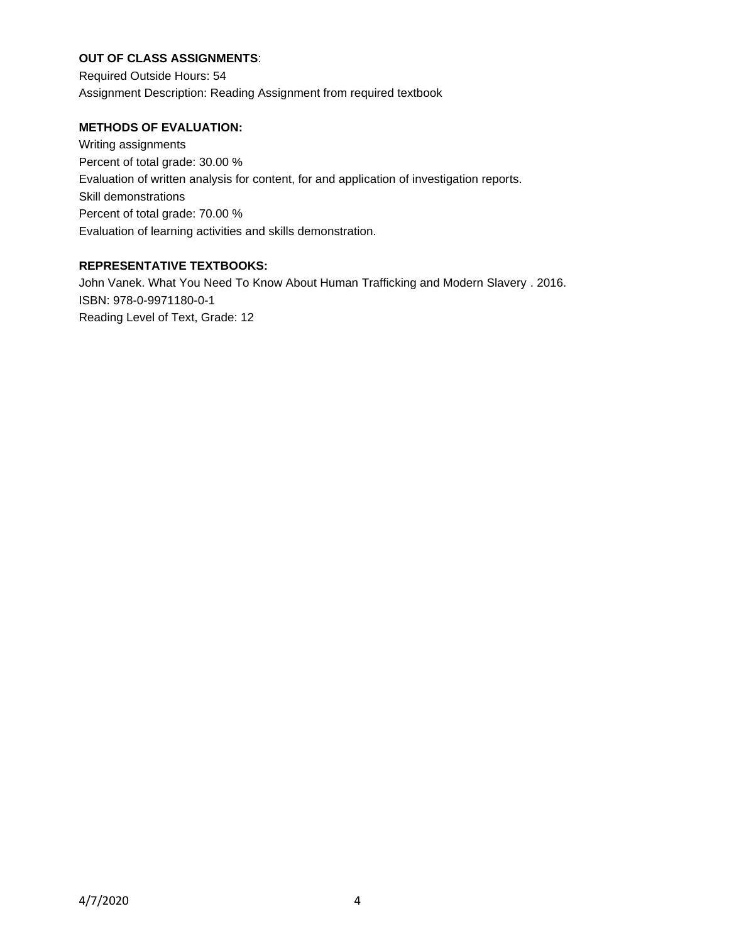# **OUT OF CLASS ASSIGNMENTS**:

Required Outside Hours: 54 Assignment Description: Reading Assignment from required textbook

### **METHODS OF EVALUATION:**

Writing assignments Percent of total grade: 30.00 % Evaluation of written analysis for content, for and application of investigation reports. Skill demonstrations Percent of total grade: 70.00 % Evaluation of learning activities and skills demonstration.

### **REPRESENTATIVE TEXTBOOKS:**

John Vanek. What You Need To Know About Human Trafficking and Modern Slavery . 2016. ISBN: 978-0-9971180-0-1 Reading Level of Text, Grade: 12